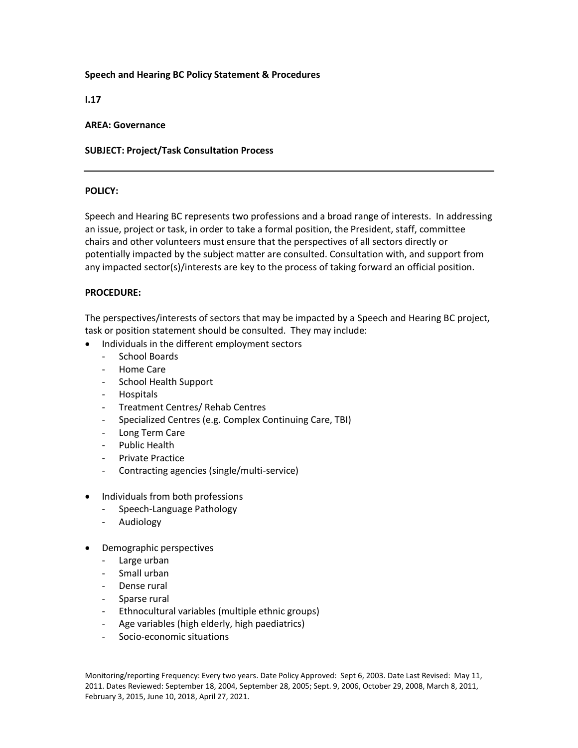# **Speech and Hearing BC Policy Statement & Procedures**

**I.17**

#### **AREA: Governance**

## **SUBJECT: Project/Task Consultation Process**

## **POLICY:**

Speech and Hearing BC represents two professions and a broad range of interests. In addressing an issue, project or task, in order to take a formal position, the President, staff, committee chairs and other volunteers must ensure that the perspectives of all sectors directly or potentially impacted by the subject matter are consulted. Consultation with, and support from any impacted sector(s)/interests are key to the process of taking forward an official position.

## **PROCEDURE:**

The perspectives/interests of sectors that may be impacted by a Speech and Hearing BC project, task or position statement should be consulted. They may include:

- Individuals in the different employment sectors
	- School Boards
	- Home Care
	- School Health Support
	- Hospitals
	- Treatment Centres/ Rehab Centres
	- Specialized Centres (e.g. Complex Continuing Care, TBI)
	- Long Term Care
	- Public Health
	- Private Practice
	- Contracting agencies (single/multi-service)
- Individuals from both professions
	- Speech-Language Pathology
	- Audiology
- Demographic perspectives
	- Large urban
	- Small urban
	- Dense rural
	- Sparse rural
	- Ethnocultural variables (multiple ethnic groups)
	- Age variables (high elderly, high paediatrics)
	- Socio-economic situations

Monitoring/reporting Frequency: Every two years. Date Policy Approved: Sept 6, 2003. Date Last Revised: May 11, 2011. Dates Reviewed: September 18, 2004, September 28, 2005; Sept. 9, 2006, October 29, 2008, March 8, 2011, February 3, 2015, June 10, 2018, April 27, 2021.